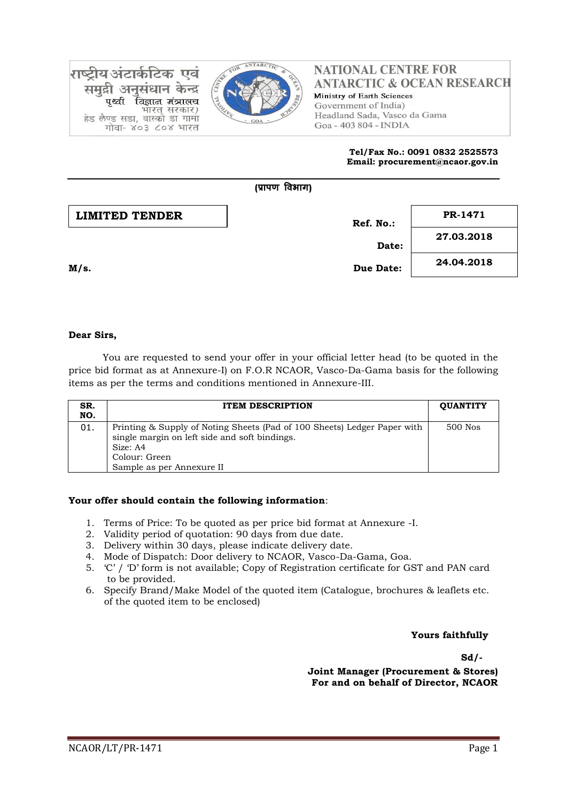

गष्टीय अंटाके Ud ान केन्द्र विज्ञान मंत्रालच पश्ची भारत सरकार) हेड लैण्ड सडा, वास्को डा गामा गोवा- ४०३ ८०४ भारत

# **NATIONAL CENTRE FOR ANTARCTIC & OCEAN RESEARCH** Ministry of Earth Sciences Government of India) Headland Sada, Vasco da Gama Goa - 403 804 - INDIA

#### **Tel/Fax No.: 0091 0832 2525573 Email: procurement@ncaor.gov.in**



## **Dear Sirs,**

You are requested to send your offer in your official letter head (to be quoted in the price bid format as at Annexure-I) on F.O.R NCAOR, Vasco-Da-Gama basis for the following items as per the terms and conditions mentioned in Annexure-III.

| SR.<br>NO. | <b>ITEM DESCRIPTION</b>                                                                                                                                                             | <b>OUANTITY</b> |
|------------|-------------------------------------------------------------------------------------------------------------------------------------------------------------------------------------|-----------------|
| 01.        | Printing & Supply of Noting Sheets (Pad of 100 Sheets) Ledger Paper with<br>single margin on left side and soft bindings.<br>Size: A4<br>Colour: Green<br>Sample as per Annexure II | 500 Nos         |

## **Your offer should contain the following information**:

- 1. Terms of Price: To be quoted as per price bid format at Annexure -I.
- 2. Validity period of quotation: 90 days from due date.
- 3. Delivery within 30 days, please indicate delivery date.
- 4. Mode of Dispatch: Door delivery to NCAOR, Vasco-Da-Gama, Goa.
- 5. 'C' / 'D' form is not available; Copy of Registration certificate for GST and PAN card to be provided.
- 6. Specify Brand/Make Model of the quoted item (Catalogue, brochures & leaflets etc. of the quoted item to be enclosed)

## **Yours faithfully**

**Sd/-**

**Joint Manager (Procurement & Stores) For and on behalf of Director, NCAOR**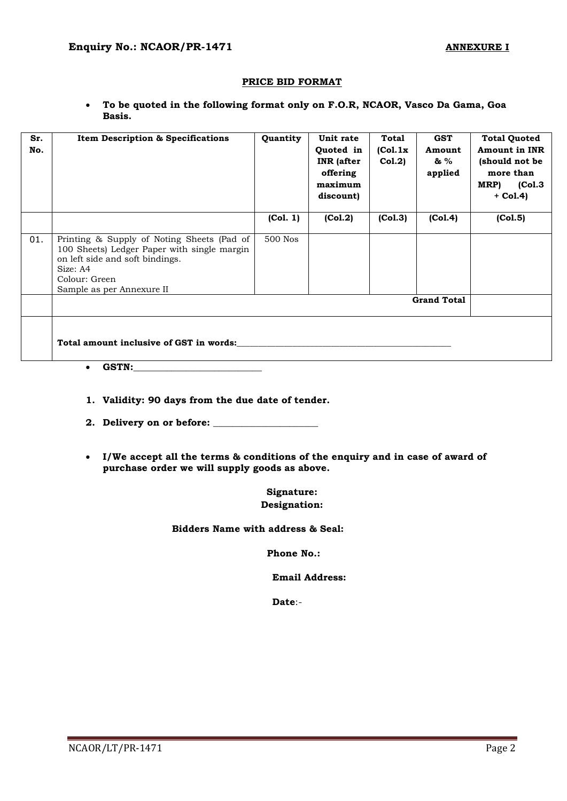## **PRICE BID FORMAT**

 **To be quoted in the following format only on F.O.R, NCAOR, Vasco Da Gama, Goa Basis.**

| Sr.<br>No. | <b>Item Description &amp; Specifications</b>                                                                                                                                           | Quantity | Unit rate<br>Quoted in<br><b>INR</b> (after<br>offering<br>maximum<br>discount) | Total<br>(Col.1x)<br>Col.2) | <b>GST</b><br>Amount<br>& %<br>applied | <b>Total Quoted</b><br><b>Amount in INR</b><br>(should not be<br>more than<br>MRP)<br>(Col.3)<br>$+$ Col.4) |
|------------|----------------------------------------------------------------------------------------------------------------------------------------------------------------------------------------|----------|---------------------------------------------------------------------------------|-----------------------------|----------------------------------------|-------------------------------------------------------------------------------------------------------------|
|            |                                                                                                                                                                                        | (Col. 1) | (Col.2)                                                                         | (Col.3)                     | (Col.4)                                | (Col.5)                                                                                                     |
| 01.        | Printing & Supply of Noting Sheets (Pad of<br>100 Sheets) Ledger Paper with single margin<br>on left side and soft bindings.<br>Size: A4<br>Colour: Green<br>Sample as per Annexure II | 500 Nos  |                                                                                 |                             |                                        |                                                                                                             |
|            |                                                                                                                                                                                        |          |                                                                                 |                             | <b>Grand Total</b>                     |                                                                                                             |
|            | Total amount inclusive of GST in words:                                                                                                                                                |          |                                                                                 |                             |                                        |                                                                                                             |

- **GSTN:\_\_\_\_\_\_\_\_\_\_\_\_\_\_\_\_\_\_\_\_\_\_\_\_\_\_\_**
- **1. Validity: 90 days from the due date of tender.**
- **2. Delivery on or before: \_\_\_\_\_\_\_\_\_\_\_\_\_\_\_\_\_\_\_\_\_\_**
- **I/We accept all the terms & conditions of the enquiry and in case of award of purchase order we will supply goods as above.**

**Signature: Designation:**

 **Bidders Name with address & Seal:**

**Phone No.:**

 **Email Address:**

**Date**:-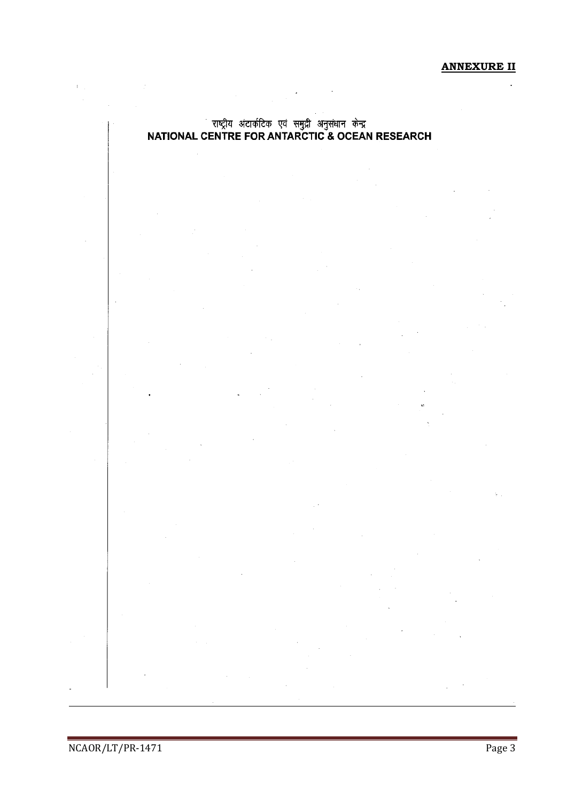**ANNEXURE II**

L.

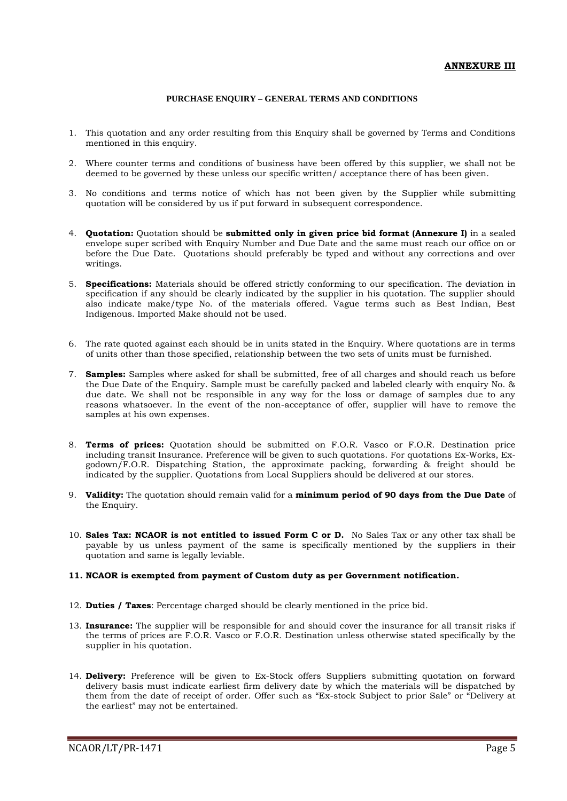#### **PURCHASE ENQUIRY – GENERAL TERMS AND CONDITIONS**

- 1. This quotation and any order resulting from this Enquiry shall be governed by Terms and Conditions mentioned in this enquiry.
- 2. Where counter terms and conditions of business have been offered by this supplier, we shall not be deemed to be governed by these unless our specific written/ acceptance there of has been given.
- 3. No conditions and terms notice of which has not been given by the Supplier while submitting quotation will be considered by us if put forward in subsequent correspondence.
- 4. **Quotation:** Quotation should be **submitted only in given price bid format (Annexure I)** in a sealed envelope super scribed with Enquiry Number and Due Date and the same must reach our office on or before the Due Date. Quotations should preferably be typed and without any corrections and over writings.
- 5. **Specifications:** Materials should be offered strictly conforming to our specification. The deviation in specification if any should be clearly indicated by the supplier in his quotation. The supplier should also indicate make/type No. of the materials offered. Vague terms such as Best Indian, Best Indigenous. Imported Make should not be used.
- 6. The rate quoted against each should be in units stated in the Enquiry. Where quotations are in terms of units other than those specified, relationship between the two sets of units must be furnished.
- 7. **Samples:** Samples where asked for shall be submitted, free of all charges and should reach us before the Due Date of the Enquiry. Sample must be carefully packed and labeled clearly with enquiry No. & due date. We shall not be responsible in any way for the loss or damage of samples due to any reasons whatsoever. In the event of the non-acceptance of offer, supplier will have to remove the samples at his own expenses.
- 8. **Terms of prices:** Quotation should be submitted on F.O.R. Vasco or F.O.R. Destination price including transit Insurance. Preference will be given to such quotations. For quotations Ex-Works, Exgodown/F.O.R. Dispatching Station, the approximate packing, forwarding & freight should be indicated by the supplier. Quotations from Local Suppliers should be delivered at our stores.
- 9. **Validity:** The quotation should remain valid for a **minimum period of 90 days from the Due Date** of the Enquiry.
- 10. **Sales Tax: NCAOR is not entitled to issued Form C or D.** No Sales Tax or any other tax shall be payable by us unless payment of the same is specifically mentioned by the suppliers in their quotation and same is legally leviable.

#### **11. NCAOR is exempted from payment of Custom duty as per Government notification.**

- 12. **Duties / Taxes**: Percentage charged should be clearly mentioned in the price bid.
- 13. **Insurance:** The supplier will be responsible for and should cover the insurance for all transit risks if the terms of prices are F.O.R. Vasco or F.O.R. Destination unless otherwise stated specifically by the supplier in his quotation.
- 14. **Delivery:** Preference will be given to Ex-Stock offers Suppliers submitting quotation on forward delivery basis must indicate earliest firm delivery date by which the materials will be dispatched by them from the date of receipt of order. Offer such as "Ex-stock Subject to prior Sale" or "Delivery at the earliest" may not be entertained.